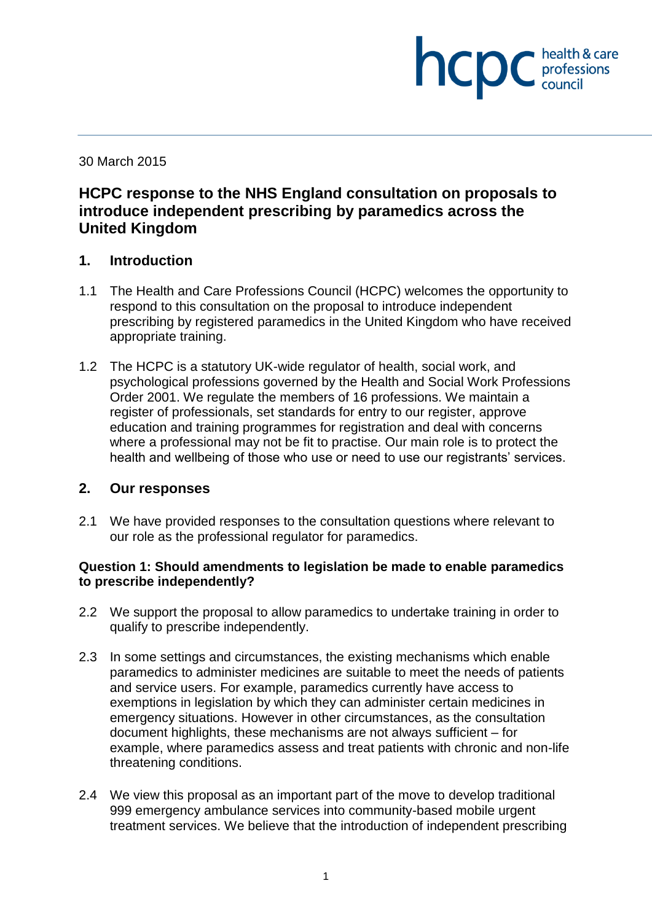30 March 2015

# **HCPC response to the NHS England consultation on proposals to introduce independent prescribing by paramedics across the United Kingdom**

**INCDC** *c health & care* 

health & care

## **1. Introduction**

- 1.1 The Health and Care Professions Council (HCPC) welcomes the opportunity to respond to this consultation on the proposal to introduce independent prescribing by registered paramedics in the United Kingdom who have received appropriate training.
- 1.2 The HCPC is a statutory UK-wide regulator of health, social work, and psychological professions governed by the Health and Social Work Professions Order 2001. We regulate the members of 16 professions. We maintain a register of professionals, set standards for entry to our register, approve education and training programmes for registration and deal with concerns where a professional may not be fit to practise. Our main role is to protect the health and wellbeing of those who use or need to use our registrants' services.

## **2. Our responses**

2.1 We have provided responses to the consultation questions where relevant to our role as the professional regulator for paramedics.

## **Question 1: Should amendments to legislation be made to enable paramedics to prescribe independently?**

- 2.2 We support the proposal to allow paramedics to undertake training in order to qualify to prescribe independently.
- 2.3 In some settings and circumstances, the existing mechanisms which enable paramedics to administer medicines are suitable to meet the needs of patients and service users. For example, paramedics currently have access to exemptions in legislation by which they can administer certain medicines in emergency situations. However in other circumstances, as the consultation document highlights, these mechanisms are not always sufficient – for example, where paramedics assess and treat patients with chronic and non-life threatening conditions.
- 2.4 We view this proposal as an important part of the move to develop traditional 999 emergency ambulance services into community-based mobile urgent treatment services. We believe that the introduction of independent prescribing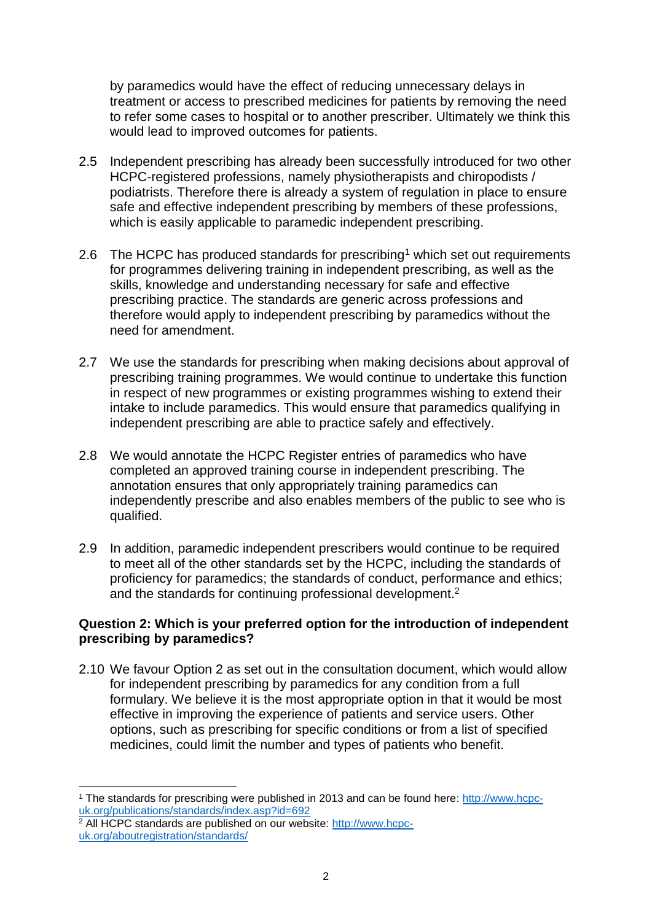by paramedics would have the effect of reducing unnecessary delays in treatment or access to prescribed medicines for patients by removing the need to refer some cases to hospital or to another prescriber. Ultimately we think this would lead to improved outcomes for patients.

- 2.5 Independent prescribing has already been successfully introduced for two other HCPC-registered professions, namely physiotherapists and chiropodists / podiatrists. Therefore there is already a system of regulation in place to ensure safe and effective independent prescribing by members of these professions, which is easily applicable to paramedic independent prescribing.
- 2.6 The HCPC has produced standards for prescribing<sup>1</sup> which set out requirements for programmes delivering training in independent prescribing, as well as the skills, knowledge and understanding necessary for safe and effective prescribing practice. The standards are generic across professions and therefore would apply to independent prescribing by paramedics without the need for amendment.
- 2.7 We use the standards for prescribing when making decisions about approval of prescribing training programmes. We would continue to undertake this function in respect of new programmes or existing programmes wishing to extend their intake to include paramedics. This would ensure that paramedics qualifying in independent prescribing are able to practice safely and effectively.
- 2.8 We would annotate the HCPC Register entries of paramedics who have completed an approved training course in independent prescribing. The annotation ensures that only appropriately training paramedics can independently prescribe and also enables members of the public to see who is qualified.
- 2.9 In addition, paramedic independent prescribers would continue to be required to meet all of the other standards set by the HCPC, including the standards of proficiency for paramedics; the standards of conduct, performance and ethics; and the standards for continuing professional development.<sup>2</sup>

## **Question 2: Which is your preferred option for the introduction of independent prescribing by paramedics?**

2.10 We favour Option 2 as set out in the consultation document, which would allow for independent prescribing by paramedics for any condition from a full formulary. We believe it is the most appropriate option in that it would be most effective in improving the experience of patients and service users. Other options, such as prescribing for specific conditions or from a list of specified medicines, could limit the number and types of patients who benefit.

**.** 

<sup>1</sup> The standards for prescribing were published in 2013 and can be found here: http://www.hcpcuk.org/publications/standards/index.asp?id=692

<sup>2</sup> All HCPC standards are published on our website: http://www.hcpcuk.org/aboutregistration/standards/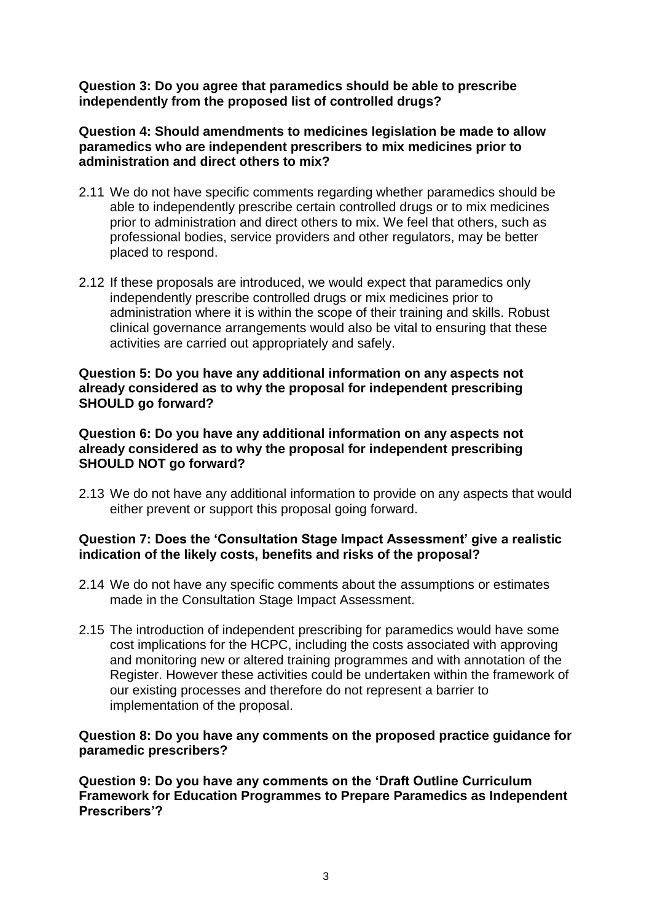**Question 3: Do you agree that paramedics should be able to prescribe independently from the proposed list of controlled drugs?**

## **Question 4: Should amendments to medicines legislation be made to allow paramedics who are independent prescribers to mix medicines prior to administration and direct others to mix?**

- 2.11 We do not have specific comments regarding whether paramedics should be able to independently prescribe certain controlled drugs or to mix medicines prior to administration and direct others to mix. We feel that others, such as professional bodies, service providers and other regulators, may be better placed to respond.
- 2.12 If these proposals are introduced, we would expect that paramedics only independently prescribe controlled drugs or mix medicines prior to administration where it is within the scope of their training and skills. Robust clinical governance arrangements would also be vital to ensuring that these activities are carried out appropriately and safely.

#### **Question 5: Do you have any additional information on any aspects not already considered as to why the proposal for independent prescribing SHOULD go forward?**

**Question 6: Do you have any additional information on any aspects not already considered as to why the proposal for independent prescribing SHOULD NOT go forward?**

2.13 We do not have any additional information to provide on any aspects that would either prevent or support this proposal going forward.

## **Question 7: Does the 'Consultation Stage Impact Assessment' give a realistic indication of the likely costs, benefits and risks of the proposal?**

- 2.14 We do not have any specific comments about the assumptions or estimates made in the Consultation Stage Impact Assessment.
- 2.15 The introduction of independent prescribing for paramedics would have some cost implications for the HCPC, including the costs associated with approving and monitoring new or altered training programmes and with annotation of the Register. However these activities could be undertaken within the framework of our existing processes and therefore do not represent a barrier to implementation of the proposal.

## **Question 8: Do you have any comments on the proposed practice guidance for paramedic prescribers?**

**Question 9: Do you have any comments on the 'Draft Outline Curriculum Framework for Education Programmes to Prepare Paramedics as Independent Prescribers'?**